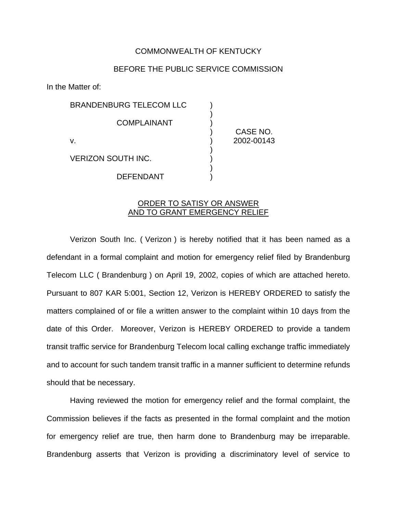## COMMONWEALTH OF KENTUCKY

## BEFORE THE PUBLIC SERVICE COMMISSION

)

)

)

In the Matter of:

BRANDENBURG TELECOM LLC ) **COMPLAINANT** v. ) 2002-00143 VERIZON SOUTH INC. )

**DEFENDANT** 

) CASE NO.

ORDER TO SATISY OR ANSWER AND TO GRANT EMERGENCY RELIEF

Verizon South Inc. ( Verizon ) is hereby notified that it has been named as a defendant in a formal complaint and motion for emergency relief filed by Brandenburg Telecom LLC ( Brandenburg ) on April 19, 2002, copies of which are attached hereto. Pursuant to 807 KAR 5:001, Section 12, Verizon is HEREBY ORDERED to satisfy the matters complained of or file a written answer to the complaint within 10 days from the date of this Order. Moreover, Verizon is HEREBY ORDERED to provide a tandem transit traffic service for Brandenburg Telecom local calling exchange traffic immediately and to account for such tandem transit traffic in a manner sufficient to determine refunds should that be necessary.

Having reviewed the motion for emergency relief and the formal complaint, the Commission believes if the facts as presented in the formal complaint and the motion for emergency relief are true, then harm done to Brandenburg may be irreparable. Brandenburg asserts that Verizon is providing a discriminatory level of service to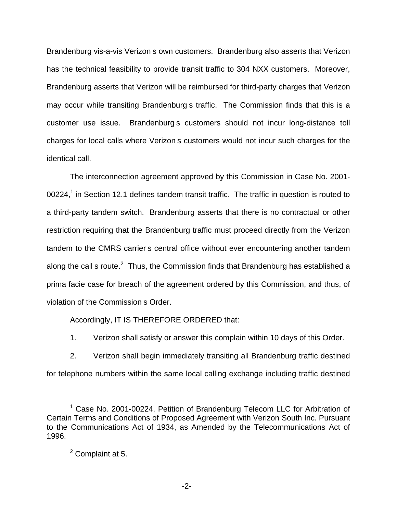Brandenburg vis-a-vis Verizon s own customers. Brandenburg also asserts that Verizon has the technical feasibility to provide transit traffic to 304 NXX customers. Moreover, Brandenburg asserts that Verizon will be reimbursed for third-party charges that Verizon may occur while transiting Brandenburg s traffic. The Commission finds that this is a customer use issue. Brandenburg s customers should not incur long-distance toll charges for local calls where Verizon s customers would not incur such charges for the identical call.

The interconnection agreement approved by this Commission in Case No. 2001- 00224,<sup>1</sup> in Section 12.1 defines tandem transit traffic. The traffic in question is routed to a third-party tandem switch. Brandenburg asserts that there is no contractual or other restriction requiring that the Brandenburg traffic must proceed directly from the Verizon tandem to the CMRS carrier s central office without ever encountering another tandem along the call s route.<sup>2</sup> Thus, the Commission finds that Brandenburg has established a prima facie case for breach of the agreement ordered by this Commission, and thus, of violation of the Commission s Order.

Accordingly, IT IS THEREFORE ORDERED that:

1. Verizon shall satisfy or answer this complain within 10 days of this Order.

2. Verizon shall begin immediately transiting all Brandenburg traffic destined for telephone numbers within the same local calling exchange including traffic destined

<sup>&</sup>lt;sup>1</sup> Case No. 2001-00224, Petition of Brandenburg Telecom LLC for Arbitration of Certain Terms and Conditions of Proposed Agreement with Verizon South Inc. Pursuant to the Communications Act of 1934, as Amended by the Telecommunications Act of 1996.

 $<sup>2</sup>$  Complaint at 5.</sup>